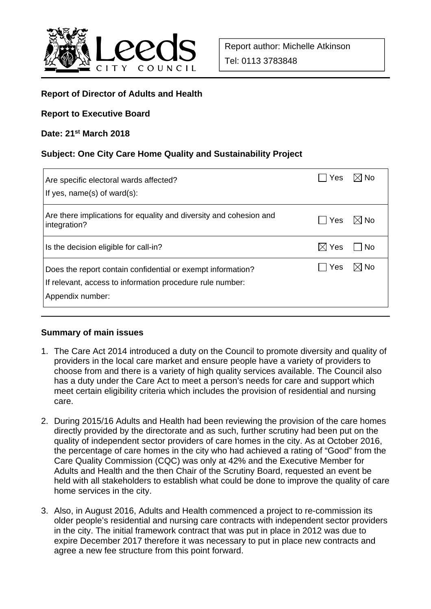

## **Report of Director of Adults and Health**

#### **Report to Executive Board**

#### **Date: 21st March 2018**

### **Subject: One City Care Home Quality and Sustainability Project**

| Are specific electoral wards affected?<br>If yes, $name(s)$ of ward $(s)$ :                                                                  | Yes             | $\boxtimes$ l No |
|----------------------------------------------------------------------------------------------------------------------------------------------|-----------------|------------------|
| Are there implications for equality and diversity and cohesion and<br>integration?                                                           | Yes             | $\boxtimes$ No   |
| Is the decision eligible for call-in?                                                                                                        | $\boxtimes$ Yes | l INo            |
| Does the report contain confidential or exempt information?<br>If relevant, access to information procedure rule number:<br>Appendix number: | Yes             | $\boxtimes$ No   |

### **Summary of main issues**

- 1. The Care Act 2014 introduced a duty on the Council to promote diversity and quality of providers in the local care market and ensure people have a variety of providers to choose from and there is a variety of high quality services available. The Council also has a duty under the Care Act to meet a person's needs for care and support which meet certain eligibility criteria which includes the provision of residential and nursing care.
- 2. During 2015/16 Adults and Health had been reviewing the provision of the care homes directly provided by the directorate and as such, further scrutiny had been put on the quality of independent sector providers of care homes in the city. As at October 2016, the percentage of care homes in the city who had achieved a rating of "Good" from the Care Quality Commission (CQC) was only at 42% and the Executive Member for Adults and Health and the then Chair of the Scrutiny Board, requested an event be held with all stakeholders to establish what could be done to improve the quality of care home services in the city.
- 3. Also, in August 2016, Adults and Health commenced a project to re-commission its older people's residential and nursing care contracts with independent sector providers in the city. The initial framework contract that was put in place in 2012 was due to expire December 2017 therefore it was necessary to put in place new contracts and agree a new fee structure from this point forward.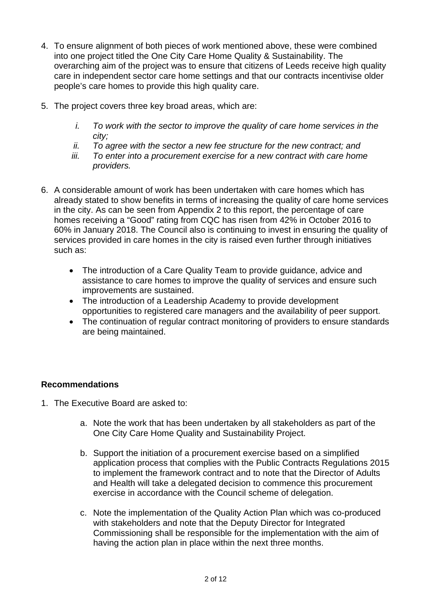- 4. To ensure alignment of both pieces of work mentioned above, these were combined into one project titled the One City Care Home Quality & Sustainability. The overarching aim of the project was to ensure that citizens of Leeds receive high quality care in independent sector care home settings and that our contracts incentivise older people's care homes to provide this high quality care.
- 5. The project covers three key broad areas, which are:
	- *i. To work with the sector to improve the quality of care home services in the city;*
	- *ii. To agree with the sector a new fee structure for the new contract; and*
	- *iii. To enter into a procurement exercise for a new contract with care home providers.*
- 6. A considerable amount of work has been undertaken with care homes which has already stated to show benefits in terms of increasing the quality of care home services in the city. As can be seen from Appendix 2 to this report, the percentage of care homes receiving a "Good" rating from CQC has risen from 42% in October 2016 to 60% in January 2018. The Council also is continuing to invest in ensuring the quality of services provided in care homes in the city is raised even further through initiatives such as:
	- The introduction of a Care Quality Team to provide guidance, advice and assistance to care homes to improve the quality of services and ensure such improvements are sustained.
	- The introduction of a Leadership Academy to provide development opportunities to registered care managers and the availability of peer support.
	- The continuation of regular contract monitoring of providers to ensure standards are being maintained.

# **Recommendations**

- 1. The Executive Board are asked to:
	- a. Note the work that has been undertaken by all stakeholders as part of the One City Care Home Quality and Sustainability Project.
	- b. Support the initiation of a procurement exercise based on a simplified application process that complies with the Public Contracts Regulations 2015 to implement the framework contract and to note that the Director of Adults and Health will take a delegated decision to commence this procurement exercise in accordance with the Council scheme of delegation.
	- c. Note the implementation of the Quality Action Plan which was co-produced with stakeholders and note that the Deputy Director for Integrated Commissioning shall be responsible for the implementation with the aim of having the action plan in place within the next three months.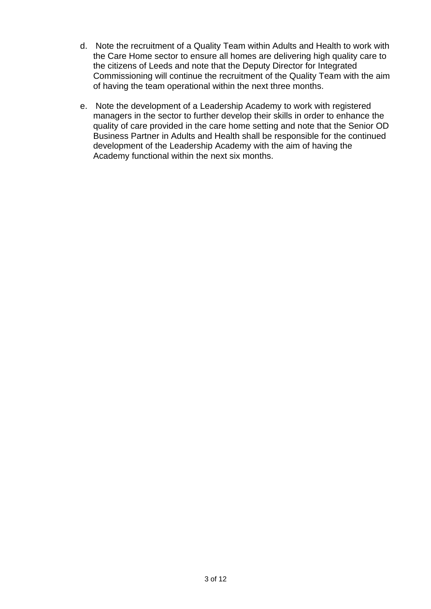- d. Note the recruitment of a Quality Team within Adults and Health to work with the Care Home sector to ensure all homes are delivering high quality care to the citizens of Leeds and note that the Deputy Director for Integrated Commissioning will continue the recruitment of the Quality Team with the aim of having the team operational within the next three months.
- e. Note the development of a Leadership Academy to work with registered managers in the sector to further develop their skills in order to enhance the quality of care provided in the care home setting and note that the Senior OD Business Partner in Adults and Health shall be responsible for the continued development of the Leadership Academy with the aim of having the Academy functional within the next six months.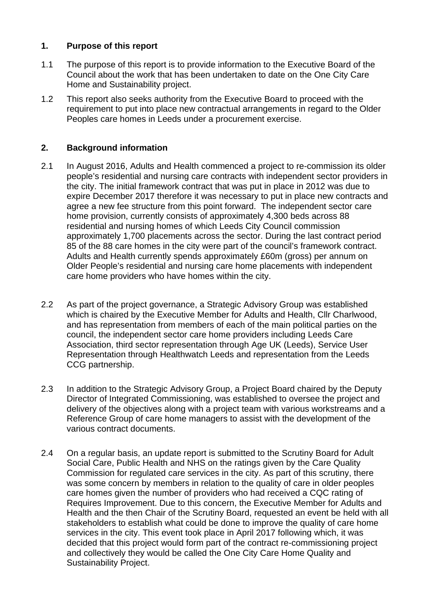# **1. Purpose of this report**

- 1.1 The purpose of this report is to provide information to the Executive Board of the Council about the work that has been undertaken to date on the One City Care Home and Sustainability project.
- 1.2 This report also seeks authority from the Executive Board to proceed with the requirement to put into place new contractual arrangements in regard to the Older Peoples care homes in Leeds under a procurement exercise.

# **2. Background information**

- 2.1 In August 2016, Adults and Health commenced a project to re-commission its older people's residential and nursing care contracts with independent sector providers in the city. The initial framework contract that was put in place in 2012 was due to expire December 2017 therefore it was necessary to put in place new contracts and agree a new fee structure from this point forward. The independent sector care home provision, currently consists of approximately 4,300 beds across 88 residential and nursing homes of which Leeds City Council commission approximately 1,700 placements across the sector. During the last contract period 85 of the 88 care homes in the city were part of the council's framework contract. Adults and Health currently spends approximately £60m (gross) per annum on Older People's residential and nursing care home placements with independent care home providers who have homes within the city.
- 2.2 As part of the project governance, a Strategic Advisory Group was established which is chaired by the Executive Member for Adults and Health, Cllr Charlwood, and has representation from members of each of the main political parties on the council, the independent sector care home providers including Leeds Care Association, third sector representation through Age UK (Leeds), Service User Representation through Healthwatch Leeds and representation from the Leeds CCG partnership.
- 2.3 In addition to the Strategic Advisory Group, a Project Board chaired by the Deputy Director of Integrated Commissioning, was established to oversee the project and delivery of the objectives along with a project team with various workstreams and a Reference Group of care home managers to assist with the development of the various contract documents.
- 2.4 On a regular basis, an update report is submitted to the Scrutiny Board for Adult Social Care, Public Health and NHS on the ratings given by the Care Quality Commission for regulated care services in the city. As part of this scrutiny, there was some concern by members in relation to the quality of care in older peoples care homes given the number of providers who had received a CQC rating of Requires Improvement. Due to this concern, the Executive Member for Adults and Health and the then Chair of the Scrutiny Board, requested an event be held with all stakeholders to establish what could be done to improve the quality of care home services in the city. This event took place in April 2017 following which, it was decided that this project would form part of the contract re-commissioning project and collectively they would be called the One City Care Home Quality and Sustainability Project.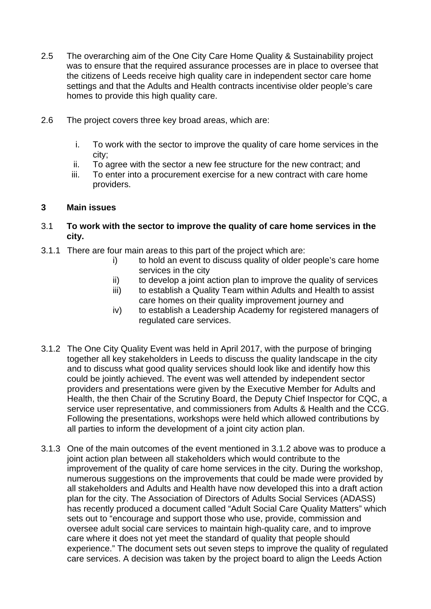- 2.5 The overarching aim of the One City Care Home Quality & Sustainability project was to ensure that the required assurance processes are in place to oversee that the citizens of Leeds receive high quality care in independent sector care home settings and that the Adults and Health contracts incentivise older people's care homes to provide this high quality care.
- 2.6 The project covers three key broad areas, which are:
	- i. To work with the sector to improve the quality of care home services in the city;
	- ii. To agree with the sector a new fee structure for the new contract; and
	- iii. To enter into a procurement exercise for a new contract with care home providers.

### **3 Main issues**

- 3.1 **To work with the sector to improve the quality of care home services in the city.**
- 3.1.1 There are four main areas to this part of the project which are:
	- i) to hold an event to discuss quality of older people's care home services in the city
	- ii) to develop a joint action plan to improve the quality of services
	- iii) to establish a Quality Team within Adults and Health to assist care homes on their quality improvement journey and
	- iv) to establish a Leadership Academy for registered managers of regulated care services.
- 3.1.2 The One City Quality Event was held in April 2017, with the purpose of bringing together all key stakeholders in Leeds to discuss the quality landscape in the city and to discuss what good quality services should look like and identify how this could be jointly achieved. The event was well attended by independent sector providers and presentations were given by the Executive Member for Adults and Health, the then Chair of the Scrutiny Board, the Deputy Chief Inspector for CQC, a service user representative, and commissioners from Adults & Health and the CCG. Following the presentations, workshops were held which allowed contributions by all parties to inform the development of a joint city action plan.
- 3.1.3 One of the main outcomes of the event mentioned in 3.1.2 above was to produce a joint action plan between all stakeholders which would contribute to the improvement of the quality of care home services in the city. During the workshop, numerous suggestions on the improvements that could be made were provided by all stakeholders and Adults and Health have now developed this into a draft action plan for the city. The Association of Directors of Adults Social Services (ADASS) has recently produced a document called "Adult Social Care Quality Matters" which sets out to "encourage and support those who use, provide, commission and oversee adult social care services to maintain high-quality care, and to improve care where it does not yet meet the standard of quality that people should experience." The document sets out seven steps to improve the quality of regulated care services. A decision was taken by the project board to align the Leeds Action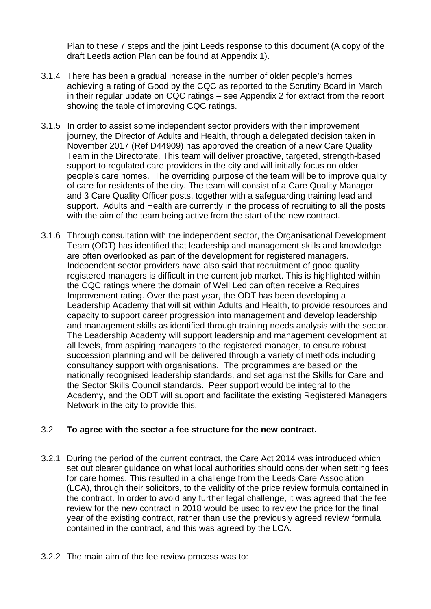Plan to these 7 steps and the joint Leeds response to this document (A copy of the draft Leeds action Plan can be found at Appendix 1).

- 3.1.4 There has been a gradual increase in the number of older people's homes achieving a rating of Good by the CQC as reported to the Scrutiny Board in March in their regular update on CQC ratings – see Appendix 2 for extract from the report showing the table of improving CQC ratings.
- 3.1.5 In order to assist some independent sector providers with their improvement journey, the Director of Adults and Health, through a delegated decision taken in November 2017 (Ref D44909) has approved the creation of a new Care Quality Team in the Directorate. This team will deliver proactive, targeted, strength-based support to regulated care providers in the city and will initially focus on older people's care homes. The overriding purpose of the team will be to improve quality of care for residents of the city. The team will consist of a Care Quality Manager and 3 Care Quality Officer posts, together with a safeguarding training lead and support. Adults and Health are currently in the process of recruiting to all the posts with the aim of the team being active from the start of the new contract.
- 3.1.6 Through consultation with the independent sector, the Organisational Development Team (ODT) has identified that leadership and management skills and knowledge are often overlooked as part of the development for registered managers. Independent sector providers have also said that recruitment of good quality registered managers is difficult in the current job market. This is highlighted within the CQC ratings where the domain of Well Led can often receive a Requires Improvement rating. Over the past year, the ODT has been developing a Leadership Academy that will sit within Adults and Health, to provide resources and capacity to support career progression into management and develop leadership and management skills as identified through training needs analysis with the sector. The Leadership Academy will support leadership and management development at all levels, from aspiring managers to the registered manager, to ensure robust succession planning and will be delivered through a variety of methods including consultancy support with organisations. The programmes are based on the nationally recognised leadership standards, and set against the Skills for Care and the Sector Skills Council standards. Peer support would be integral to the Academy, and the ODT will support and facilitate the existing Registered Managers Network in the city to provide this.

# 3.2 **To agree with the sector a fee structure for the new contract.**

- 3.2.1 During the period of the current contract, the Care Act 2014 was introduced which set out clearer guidance on what local authorities should consider when setting fees for care homes. This resulted in a challenge from the Leeds Care Association (LCA), through their solicitors, to the validity of the price review formula contained in the contract. In order to avoid any further legal challenge, it was agreed that the fee review for the new contract in 2018 would be used to review the price for the final year of the existing contract, rather than use the previously agreed review formula contained in the contract, and this was agreed by the LCA.
- 3.2.2 The main aim of the fee review process was to: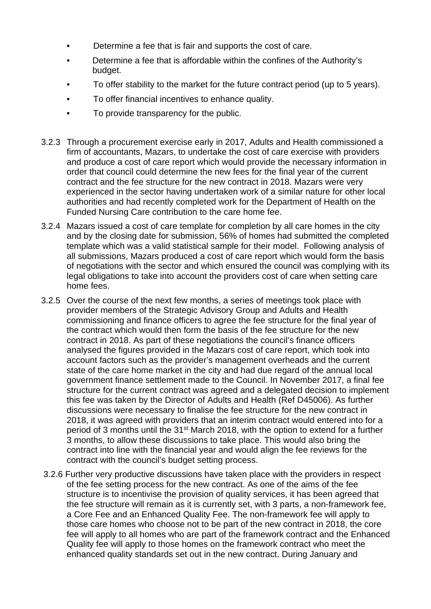- Determine a fee that is fair and supports the cost of care.
- Determine a fee that is affordable within the confines of the Authority's budget.
- To offer stability to the market for the future contract period (up to 5 years).
- To offer financial incentives to enhance quality.
- To provide transparency for the public.
- 3.2.3 Through a procurement exercise early in 2017, Adults and Health commissioned a firm of accountants, Mazars, to undertake the cost of care exercise with providers and produce a cost of care report which would provide the necessary information in order that council could determine the new fees for the final year of the current contract and the fee structure for the new contract in 2018. Mazars were very experienced in the sector having undertaken work of a similar nature for other local authorities and had recently completed work for the Department of Health on the Funded Nursing Care contribution to the care home fee.
- 3.2.4 Mazars issued a cost of care template for completion by all care homes in the city and by the closing date for submission, 56% of homes had submitted the completed template which was a valid statistical sample for their model. Following analysis of all submissions, Mazars produced a cost of care report which would form the basis of negotiations with the sector and which ensured the council was complying with its legal obligations to take into account the providers cost of care when setting care home fees.
- 3.2.5 Over the course of the next few months, a series of meetings took place with provider members of the Strategic Advisory Group and Adults and Health commissioning and finance officers to agree the fee structure for the final year of the contract which would then form the basis of the fee structure for the new contract in 2018. As part of these negotiations the council's finance officers analysed the figures provided in the Mazars cost of care report, which took into account factors such as the provider's management overheads and the current state of the care home market in the city and had due regard of the annual local government finance settlement made to the Council. In November 2017, a final fee structure for the current contract was agreed and a delegated decision to implement this fee was taken by the Director of Adults and Health (Ref D45006). As further discussions were necessary to finalise the fee structure for the new contract in 2018, it was agreed with providers that an interim contract would entered into for a period of 3 months until the 31st March 2018, with the option to extend for a further 3 months, to allow these discussions to take place. This would also bring the contract into line with the financial year and would align the fee reviews for the contract with the council's budget setting process.
- 3.2.6 Further very productive discussions have taken place with the providers in respect of the fee setting process for the new contract. As one of the aims of the fee structure is to incentivise the provision of quality services, it has been agreed that the fee structure will remain as it is currently set, with 3 parts, a non-framework fee, a Core Fee and an Enhanced Quality Fee. The non-framework fee will apply to those care homes who choose not to be part of the new contract in 2018, the core fee will apply to all homes who are part of the framework contract and the Enhanced Quality fee will apply to those homes on the framework contract who meet the enhanced quality standards set out in the new contract. During January and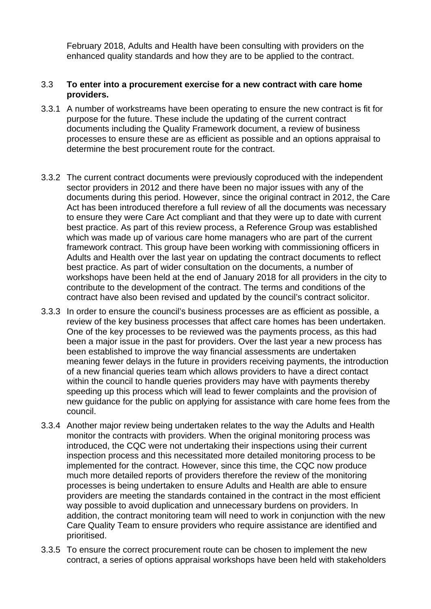February 2018, Adults and Health have been consulting with providers on the enhanced quality standards and how they are to be applied to the contract.

### 3.3 **To enter into a procurement exercise for a new contract with care home providers.**

- 3.3.1 A number of workstreams have been operating to ensure the new contract is fit for purpose for the future. These include the updating of the current contract documents including the Quality Framework document, a review of business processes to ensure these are as efficient as possible and an options appraisal to determine the best procurement route for the contract.
- 3.3.2 The current contract documents were previously coproduced with the independent sector providers in 2012 and there have been no major issues with any of the documents during this period. However, since the original contract in 2012, the Care Act has been introduced therefore a full review of all the documents was necessary to ensure they were Care Act compliant and that they were up to date with current best practice. As part of this review process, a Reference Group was established which was made up of various care home managers who are part of the current framework contract. This group have been working with commissioning officers in Adults and Health over the last year on updating the contract documents to reflect best practice. As part of wider consultation on the documents, a number of workshops have been held at the end of January 2018 for all providers in the city to contribute to the development of the contract. The terms and conditions of the contract have also been revised and updated by the council's contract solicitor.
- 3.3.3 In order to ensure the council's business processes are as efficient as possible, a review of the key business processes that affect care homes has been undertaken. One of the key processes to be reviewed was the payments process, as this had been a major issue in the past for providers. Over the last year a new process has been established to improve the way financial assessments are undertaken meaning fewer delays in the future in providers receiving payments, the introduction of a new financial queries team which allows providers to have a direct contact within the council to handle queries providers may have with payments thereby speeding up this process which will lead to fewer complaints and the provision of new guidance for the public on applying for assistance with care home fees from the council.
- 3.3.4 Another major review being undertaken relates to the way the Adults and Health monitor the contracts with providers. When the original monitoring process was introduced, the CQC were not undertaking their inspections using their current inspection process and this necessitated more detailed monitoring process to be implemented for the contract. However, since this time, the CQC now produce much more detailed reports of providers therefore the review of the monitoring processes is being undertaken to ensure Adults and Health are able to ensure providers are meeting the standards contained in the contract in the most efficient way possible to avoid duplication and unnecessary burdens on providers. In addition, the contract monitoring team will need to work in conjunction with the new Care Quality Team to ensure providers who require assistance are identified and prioritised.
- 3.3.5 To ensure the correct procurement route can be chosen to implement the new contract, a series of options appraisal workshops have been held with stakeholders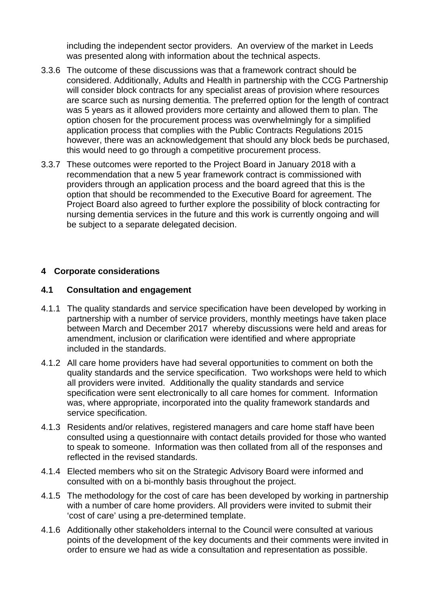including the independent sector providers. An overview of the market in Leeds was presented along with information about the technical aspects.

- 3.3.6 The outcome of these discussions was that a framework contract should be considered. Additionally, Adults and Health in partnership with the CCG Partnership will consider block contracts for any specialist areas of provision where resources are scarce such as nursing dementia. The preferred option for the length of contract was 5 years as it allowed providers more certainty and allowed them to plan. The option chosen for the procurement process was overwhelmingly for a simplified application process that complies with the Public Contracts Regulations 2015 however, there was an acknowledgement that should any block beds be purchased, this would need to go through a competitive procurement process.
- 3.3.7 These outcomes were reported to the Project Board in January 2018 with a recommendation that a new 5 year framework contract is commissioned with providers through an application process and the board agreed that this is the option that should be recommended to the Executive Board for agreement. The Project Board also agreed to further explore the possibility of block contracting for nursing dementia services in the future and this work is currently ongoing and will be subject to a separate delegated decision.

### **4 Corporate considerations**

### **4.1 Consultation and engagement**

- 4.1.1 The quality standards and service specification have been developed by working in partnership with a number of service providers, monthly meetings have taken place between March and December 2017 whereby discussions were held and areas for amendment, inclusion or clarification were identified and where appropriate included in the standards.
- 4.1.2 All care home providers have had several opportunities to comment on both the quality standards and the service specification. Two workshops were held to which all providers were invited. Additionally the quality standards and service specification were sent electronically to all care homes for comment. Information was, where appropriate, incorporated into the quality framework standards and service specification.
- 4.1.3 Residents and/or relatives, registered managers and care home staff have been consulted using a questionnaire with contact details provided for those who wanted to speak to someone. Information was then collated from all of the responses and reflected in the revised standards.
- 4.1.4 Elected members who sit on the Strategic Advisory Board were informed and consulted with on a bi-monthly basis throughout the project.
- 4.1.5 The methodology for the cost of care has been developed by working in partnership with a number of care home providers. All providers were invited to submit their 'cost of care' using a pre-determined template.
- 4.1.6 Additionally other stakeholders internal to the Council were consulted at various points of the development of the key documents and their comments were invited in order to ensure we had as wide a consultation and representation as possible.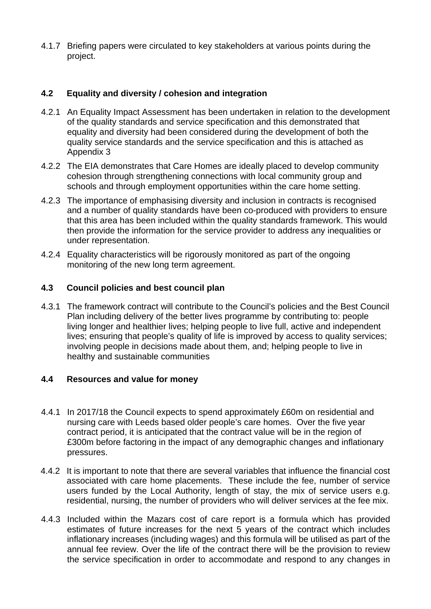4.1.7 Briefing papers were circulated to key stakeholders at various points during the project.

# **4.2 Equality and diversity / cohesion and integration**

- 4.2.1 An Equality Impact Assessment has been undertaken in relation to the development of the quality standards and service specification and this demonstrated that equality and diversity had been considered during the development of both the quality service standards and the service specification and this is attached as Appendix 3
- 4.2.2 The EIA demonstrates that Care Homes are ideally placed to develop community cohesion through strengthening connections with local community group and schools and through employment opportunities within the care home setting.
- 4.2.3 The importance of emphasising diversity and inclusion in contracts is recognised and a number of quality standards have been co-produced with providers to ensure that this area has been included within the quality standards framework. This would then provide the information for the service provider to address any inequalities or under representation.
- 4.2.4 Equality characteristics will be rigorously monitored as part of the ongoing monitoring of the new long term agreement.

# **4.3 Council policies and best council plan**

4.3.1 The framework contract will contribute to the Council's policies and the Best Council Plan including delivery of the better lives programme by contributing to: people living longer and healthier lives; helping people to live full, active and independent lives; ensuring that people's quality of life is improved by access to quality services; involving people in decisions made about them, and; helping people to live in healthy and sustainable communities

### **4.4 Resources and value for money**

- 4.4.1 In 2017/18 the Council expects to spend approximately £60m on residential and nursing care with Leeds based older people's care homes. Over the five year contract period, it is anticipated that the contract value will be in the region of £300m before factoring in the impact of any demographic changes and inflationary pressures.
- 4.4.2 It is important to note that there are several variables that influence the financial cost associated with care home placements. These include the fee, number of service users funded by the Local Authority, length of stay, the mix of service users e.g. residential, nursing, the number of providers who will deliver services at the fee mix.
- 4.4.3 Included within the Mazars cost of care report is a formula which has provided estimates of future increases for the next 5 years of the contract which includes inflationary increases (including wages) and this formula will be utilised as part of the annual fee review. Over the life of the contract there will be the provision to review the service specification in order to accommodate and respond to any changes in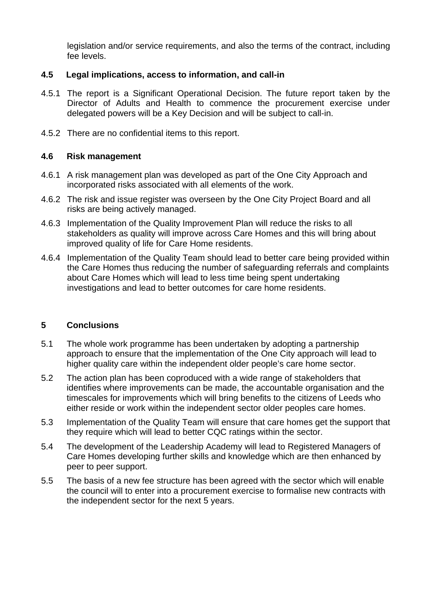legislation and/or service requirements, and also the terms of the contract, including fee levels.

### **4.5 Legal implications, access to information, and call-in**

- 4.5.1 The report is a Significant Operational Decision. The future report taken by the Director of Adults and Health to commence the procurement exercise under delegated powers will be a Key Decision and will be subject to call-in.
- 4.5.2 There are no confidential items to this report.

### **4.6 Risk management**

- 4.6.1 A risk management plan was developed as part of the One City Approach and incorporated risks associated with all elements of the work.
- 4.6.2 The risk and issue register was overseen by the One City Project Board and all risks are being actively managed.
- 4.6.3 Implementation of the Quality Improvement Plan will reduce the risks to all stakeholders as quality will improve across Care Homes and this will bring about improved quality of life for Care Home residents.
- 4.6.4 Implementation of the Quality Team should lead to better care being provided within the Care Homes thus reducing the number of safeguarding referrals and complaints about Care Homes which will lead to less time being spent undertaking investigations and lead to better outcomes for care home residents.

### **5 Conclusions**

- 5.1 The whole work programme has been undertaken by adopting a partnership approach to ensure that the implementation of the One City approach will lead to higher quality care within the independent older people's care home sector.
- 5.2 The action plan has been coproduced with a wide range of stakeholders that identifies where improvements can be made, the accountable organisation and the timescales for improvements which will bring benefits to the citizens of Leeds who either reside or work within the independent sector older peoples care homes.
- 5.3 Implementation of the Quality Team will ensure that care homes get the support that they require which will lead to better CQC ratings within the sector.
- 5.4 The development of the Leadership Academy will lead to Registered Managers of Care Homes developing further skills and knowledge which are then enhanced by peer to peer support.
- 5.5 The basis of a new fee structure has been agreed with the sector which will enable the council will to enter into a procurement exercise to formalise new contracts with the independent sector for the next 5 years.